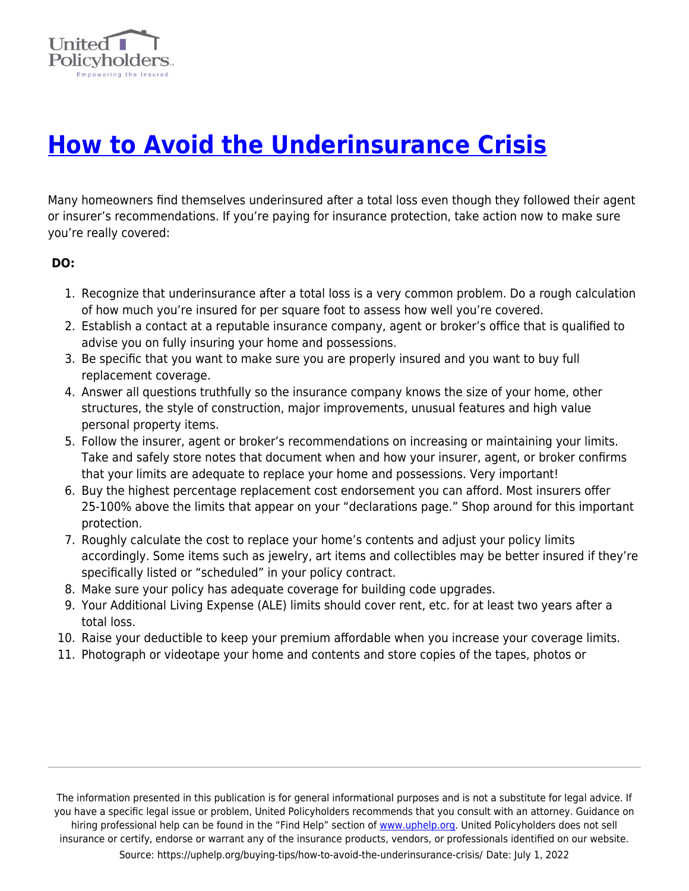

## **[How to Avoid the Underinsurance Crisis](https://uphelp.org/buying-tips/how-to-avoid-the-underinsurance-crisis/)**

Many homeowners find themselves underinsured after a total loss even though they followed their agent or insurer's recommendations. If you're paying for insurance protection, take action now to make sure you're really covered:

## **DO:**

- 1. Recognize that underinsurance after a total loss is a very common problem. Do a rough calculation of how much you're insured for per square foot to assess how well you're covered.
- 2. Establish a contact at a reputable insurance company, agent or broker's office that is qualified to advise you on fully insuring your home and possessions.
- 3. Be specific that you want to make sure you are properly insured and you want to buy full replacement coverage.
- 4. Answer all questions truthfully so the insurance company knows the size of your home, other structures, the style of construction, major improvements, unusual features and high value personal property items.
- 5. Follow the insurer, agent or broker's recommendations on increasing or maintaining your limits. Take and safely store notes that document when and how your insurer, agent, or broker confirms that your limits are adequate to replace your home and possessions. Very important!
- 6. Buy the highest percentage replacement cost endorsement you can afford. Most insurers offer 25-100% above the limits that appear on your "declarations page." Shop around for this important protection.
- 7. Roughly calculate the cost to replace your home's contents and adjust your policy limits accordingly. Some items such as jewelry, art items and collectibles may be better insured if they're specifically listed or "scheduled" in your policy contract.
- 8. Make sure your policy has adequate coverage for building code upgrades.
- 9. Your Additional Living Expense (ALE) limits should cover rent, etc. for at least two years after a total loss.
- 10. Raise your deductible to keep your premium affordable when you increase your coverage limits.
- 11. Photograph or videotape your home and contents and store copies of the tapes, photos or

The information presented in this publication is for general informational purposes and is not a substitute for legal advice. If you have a specific legal issue or problem, United Policyholders recommends that you consult with an attorney. Guidance on hiring professional help can be found in the "Find Help" section of [www.uphelp.org.](http://www.uphelp.org/) United Policyholders does not sell insurance or certify, endorse or warrant any of the insurance products, vendors, or professionals identified on our website. Source: https://uphelp.org/buying-tips/how-to-avoid-the-underinsurance-crisis/ Date: July 1, 2022